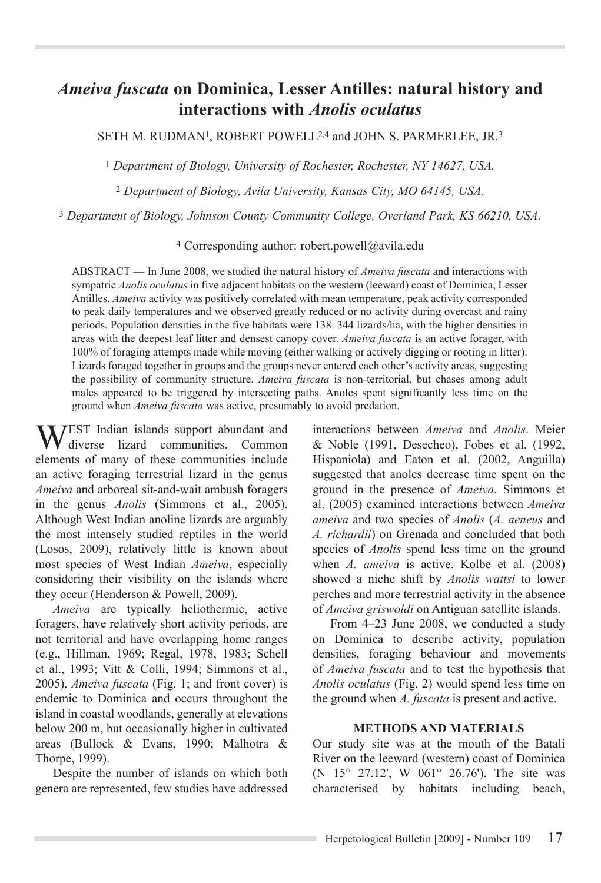# *Ameiva fuscata* **on Dominica, Lesser Antilles: natural history and interactions with** *Anolis oculatus*

SETH M. RUDMAN<sup>1</sup>, ROBERT POWELL<sup>2,4</sup> and JOHN S. PARMERLEE, JR.<sup>3</sup>

<sup>1</sup> *Department of Biology, University of Rochester, Rochester, NY 14627, USA.*

<sup>2</sup> *Department of Biology, Avila University, Kansas City, MO 64145, USA.*

<sup>3</sup> *Department of Biology, Johnson County Community College, Overland Park, KS 66210, USA.*

4 Corresponding author: robert.powell@avila.edu

ABSTRACT — In June 2008, we studied the natural history of *Ameiva fuscata* and interactions with sympatric *Anolis oculatus* in five adjacent habitats on the western (leeward) coast of Dominica, Lesser Antilles. *Ameiva* activity was positively correlated with mean temperature, peak activity corresponded to peak daily temperatures and we observed greatly reduced or no activity during overcast and rainy periods. Population densities in the five habitats were 138–344 lizards/ha, with the higher densities in areas with the deepest leaf litter and densest canopy cover. *Ameiva fuscata* is an active forager, with 100% of foraging attempts made while moving (either walking or actively digging or rooting in litter). Lizards foraged together in groups and the groups never entered each other's activity areas, suggesting the possibility of community structure. *Ameiva fuscata* is non-territorial, but chases among adult males appeared to be triggered by intersecting paths. Anoles spent significantly less time on the ground when *Ameiva fuscata* was active, presumably to avoid predation.

**WEST** Indian islands support abundant and diverse lizard communities. Common diverse lizard communities. elements of many of these communities include an active foraging terrestrial lizard in the genus *Ameiva* and arboreal sit-and-wait ambush foragers in the genus *Anolis* (Simmons et al., 2005). Although West Indian anoline lizards are arguably the most intensely studied reptiles in the world (Losos, 2009), relatively little is known about most species of West Indian *Ameiva*, especially considering their visibility on the islands where they occur (Henderson & Powell, 2009).

*Ameiva* are typically heliothermic, active foragers, have relatively short activity periods, are not territorial and have overlapping home ranges (e.g., Hillman, 1969; Regal, 1978, 1983; Schell et al., 1993; Vitt & Colli, 1994; Simmons et al., 2005). *Ameiva fuscata* (Fig. 1; and front cover) is endemic to Dominica and occurs throughout the island in coastal woodlands, generally at elevations below 200 m, but occasionally higher in cultivated areas (Bullock & Evans, 1990; Malhotra & Thorpe, 1999).

Despite the number of islands on which both genera are represented, few studies have addressed interactions between *Ameiva* and *Anolis*. Meier & Noble (1991, Desecheo), Fobes et al. (1992, Hispaniola) and Eaton et al. (2002, Anguilla) suggested that anoles decrease time spent on the ground in the presence of *Ameiva*. Simmons et al. (2005) examined interactions between *Ameiva ameiva* and two species of *Anolis* (*A. aeneus* and *A. richardii*) on Grenada and concluded that both species of *Anolis* spend less time on the ground when *A. ameiva* is active. Kolbe et al. (2008) showed a niche shift by *Anolis wattsi* to lower perches and more terrestrial activity in the absence of *Ameiva griswoldi* on Antiguan satellite islands.

From 4–23 June 2008, we conducted a study on Dominica to describe activity, population densities, foraging behaviour and movements of *Ameiva fuscata* and to test the hypothesis that *Anolis oculatus* (Fig. 2) would spend less time on the ground when *A. fuscata* is present and active.

#### **METHODS AND MATERIALS**

Our study site was at the mouth of the Batali River on the leeward (western) coast of Dominica (N 15° 27.12', W 061° 26.76'). The site was characterised by habitats including beach,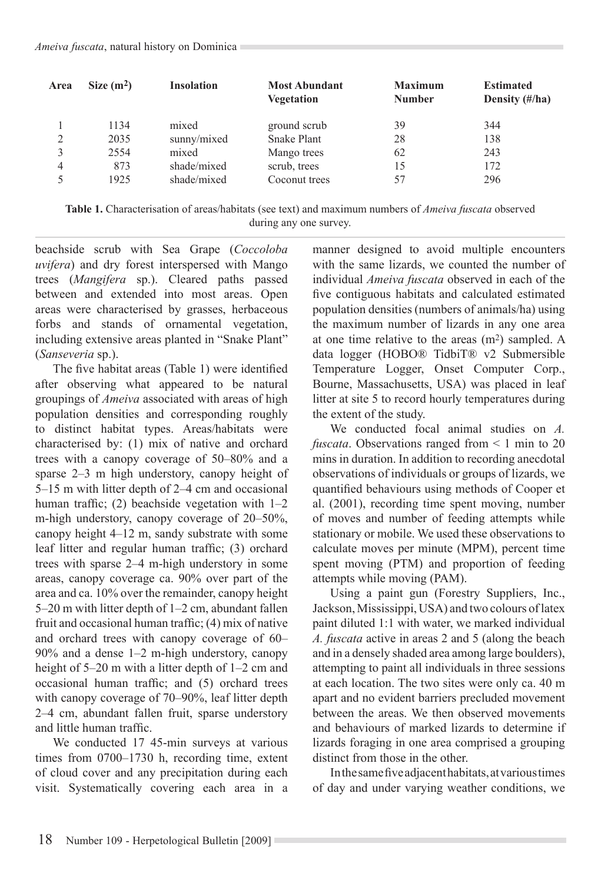| Area | Size $(m^2)$ | <b>Insolation</b> | <b>Most Abundant</b><br><b>Vegetation</b> | <b>Maximum</b><br><b>Number</b> | <b>Estimated</b><br>Density $(\frac{\text{#}}{\text{ha}})$ |
|------|--------------|-------------------|-------------------------------------------|---------------------------------|------------------------------------------------------------|
|      | 1134         | mixed             | ground scrub                              | 39                              | 344                                                        |
| 2    | 2035         | sunny/mixed       | <b>Snake Plant</b>                        | 28                              | 138                                                        |
| 3    | 2554         | mixed             | Mango trees                               | 62                              | 243                                                        |
| 4    | 873          | shade/mixed       | scrub, trees                              | 15                              | 172                                                        |
|      | 1925         | shade/mixed       | Coconut trees                             | 57                              | 296                                                        |

| <b>Table 1.</b> Characterisation of areas/habitats (see text) and maximum numbers of <i>Ameiva fuscata</i> observed |  |  |  |  |  |  |
|---------------------------------------------------------------------------------------------------------------------|--|--|--|--|--|--|
| during any one survey.                                                                                              |  |  |  |  |  |  |

beachside scrub with Sea Grape (*Coccoloba uvifera*) and dry forest interspersed with Mango trees (*Mangifera* sp.). Cleared paths passed between and extended into most areas. Open areas were characterised by grasses, herbaceous forbs and stands of ornamental vegetation, including extensive areas planted in "Snake Plant" (*Sanseveria* sp.).

The five habitat areas (Table 1) were identified after observing what appeared to be natural groupings of *Ameiva* associated with areas of high population densities and corresponding roughly to distinct habitat types. Areas/habitats were characterised by: (1) mix of native and orchard trees with a canopy coverage of 50–80% and a sparse 2–3 m high understory, canopy height of 5–15 m with litter depth of 2–4 cm and occasional human traffic; (2) beachside vegetation with 1–2 m-high understory, canopy coverage of 20–50%, canopy height 4–12 m, sandy substrate with some leaf litter and regular human traffic; (3) orchard trees with sparse 2–4 m-high understory in some areas, canopy coverage ca. 90% over part of the area and ca. 10% over the remainder, canopy height 5–20 m with litter depth of 1–2 cm, abundant fallen fruit and occasional human traffic; (4) mix of native and orchard trees with canopy coverage of 60– 90% and a dense 1–2 m-high understory, canopy height of 5–20 m with a litter depth of 1–2 cm and occasional human traffic; and (5) orchard trees with canopy coverage of 70–90%, leaf litter depth 2–4 cm, abundant fallen fruit, sparse understory and little human traffic.

We conducted 17 45-min surveys at various times from 0700–1730 h, recording time, extent of cloud cover and any precipitation during each visit. Systematically covering each area in a manner designed to avoid multiple encounters with the same lizards, we counted the number of individual *Ameiva fuscata* observed in each of the five contiguous habitats and calculated estimated population densities (numbers of animals/ha) using the maximum number of lizards in any one area at one time relative to the areas (m2) sampled. A data logger (HOBO® TidbiT® v2 Submersible Temperature Logger, Onset Computer Corp., Bourne, Massachusetts, USA) was placed in leaf litter at site 5 to record hourly temperatures during the extent of the study.

We conducted focal animal studies on *A. fuscata*. Observations ranged from < 1 min to 20 mins in duration. In addition to recording anecdotal observations of individuals or groups of lizards, we quantified behaviours using methods of Cooper et al. (2001), recording time spent moving, number of moves and number of feeding attempts while stationary or mobile. We used these observations to calculate moves per minute (MPM), percent time spent moving (PTM) and proportion of feeding attempts while moving (PAM).

Using a paint gun (Forestry Suppliers, Inc., Jackson, Mississippi, USA) and two colours of latex paint diluted 1:1 with water, we marked individual *A. fuscata* active in areas 2 and 5 (along the beach and in a densely shaded area among large boulders), attempting to paint all individuals in three sessions at each location. The two sites were only ca. 40 m apart and no evident barriers precluded movement between the areas. We then observed movements and behaviours of marked lizards to determine if lizards foraging in one area comprised a grouping distinct from those in the other.

In the same five adjacent habitats, at various times of day and under varying weather conditions, we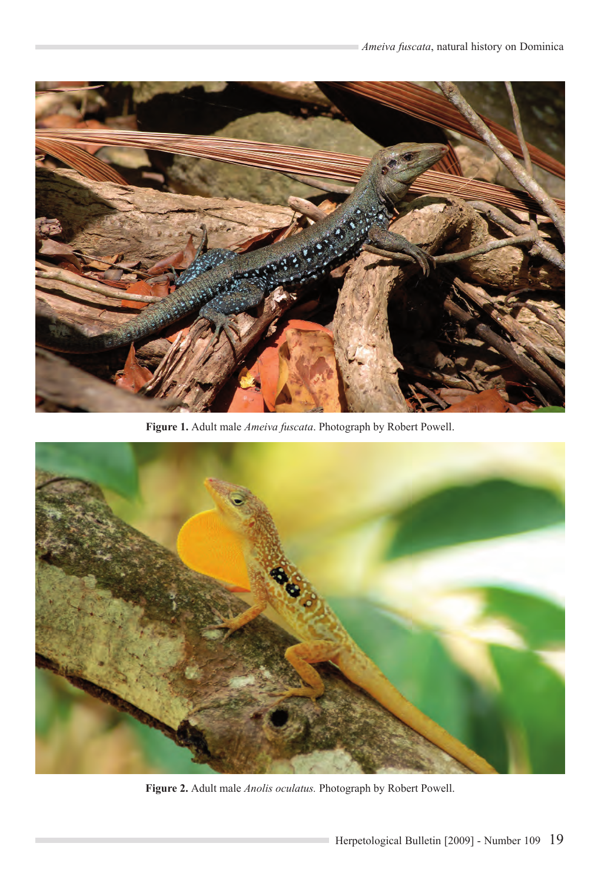

**Figure 1.** Adult male *Ameiva fuscata*. Photograph by Robert Powell.



**Figure 2.** Adult male *Anolis oculatus.* Photograph by Robert Powell.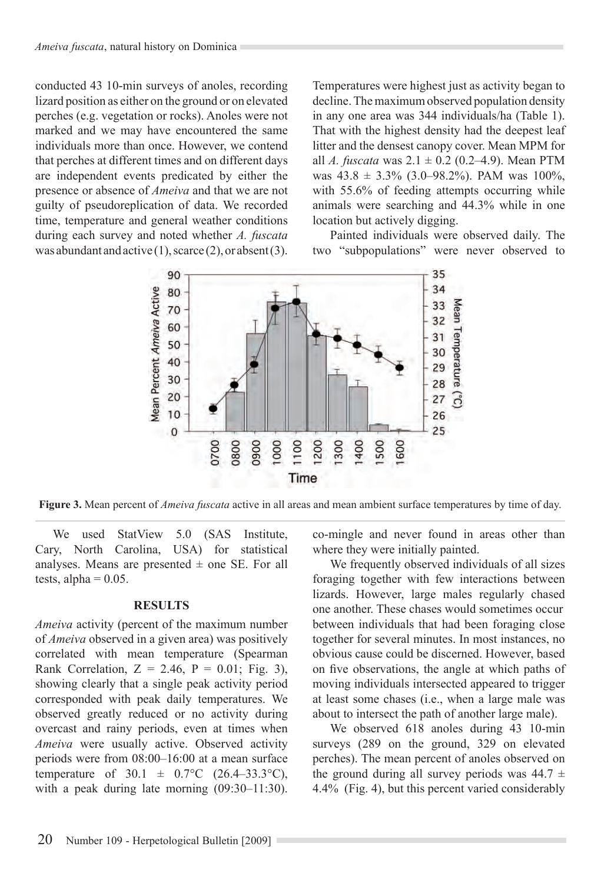conducted 43 10-min surveys of anoles, recording lizard position as either on the ground or on elevated perches (e.g. vegetation or rocks). Anoles were not marked and we may have encountered the same individuals more than once. However, we contend that perches at different times and on different days are independent events predicated by either the presence or absence of *Ameiva* and that we are not guilty of pseudoreplication of data. We recorded time, temperature and general weather conditions during each survey and noted whether *A. fuscata*  was abundant and active  $(1)$ , scarce  $(2)$ , or absent  $(3)$ .

Temperatures were highest just as activity began to decline. The maximum observed population density in any one area was 344 individuals/ha (Table 1). That with the highest density had the deepest leaf litter and the densest canopy cover. Mean MPM for all *A. fuscata* was  $2.1 \pm 0.2$  (0.2–4.9). Mean PTM was  $43.8 \pm 3.3\%$  (3.0–98.2%). PAM was  $100\%$ , with 55.6% of feeding attempts occurring while animals were searching and 44.3% while in one location but actively digging.

Painted individuals were observed daily. The two "subpopulations" were never observed to



**Figure 3.** Mean percent of *Ameiva fuscata* active in all areas and mean ambient surface temperatures by time of day.

We used StatView 5.0 (SAS Institute, Cary, North Carolina, USA) for statistical analyses. Means are presented  $\pm$  one SE. For all tests, alpha =  $0.05$ .

### **RESULTS**

*Ameiva* activity (percent of the maximum number of *Ameiva* observed in a given area) was positively correlated with mean temperature (Spearman Rank Correlation,  $Z = 2.46$ ,  $P = 0.01$ ; Fig. 3), showing clearly that a single peak activity period corresponded with peak daily temperatures. We observed greatly reduced or no activity during overcast and rainy periods, even at times when *Ameiva* were usually active. Observed activity periods were from 08:00–16:00 at a mean surface temperature of  $30.1 \pm 0.7$ °C (26.4–33.3°C), with a peak during late morning  $(09:30-11:30)$ .

co-mingle and never found in areas other than where they were initially painted.

We frequently observed individuals of all sizes foraging together with few interactions between lizards. However, large males regularly chased one another. These chases would sometimes occur between individuals that had been foraging close together for several minutes. In most instances, no obvious cause could be discerned. However, based on five observations, the angle at which paths of moving individuals intersected appeared to trigger at least some chases (i.e., when a large male was about to intersect the path of another large male).

We observed 618 anoles during 43 10-min surveys (289 on the ground, 329 on elevated perches). The mean percent of anoles observed on the ground during all survey periods was  $44.7 \pm$ 4.4% (Fig. 4), but this percent varied considerably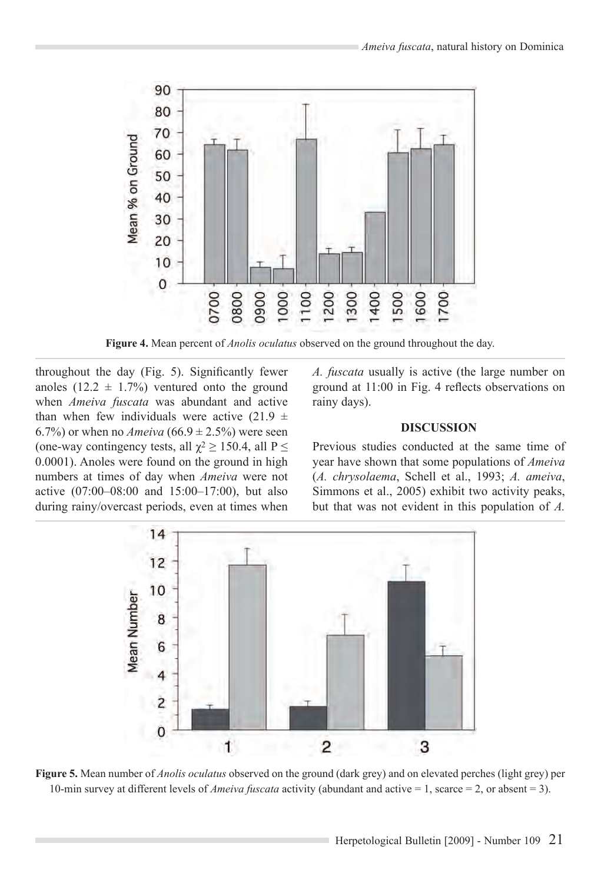

**Figure 4.** Mean percent of *Anolis oculatus* observed on the ground throughout the day.

throughout the day (Fig. 5). Significantly fewer anoles  $(12.2 \pm 1.7\%)$  ventured onto the ground when *Ameiva fuscata* was abundant and active than when few individuals were active  $(21.9 \pm 1)$ 6.7%) or when no *Ameiva* (66.9  $\pm$  2.5%) were seen (one-way contingency tests, all  $\chi^2 \ge 150.4$ , all P  $\le$ 0.0001). Anoles were found on the ground in high numbers at times of day when *Ameiva* were not active (07:00–08:00 and 15:00–17:00), but also during rainy/overcast periods, even at times when *A. fuscata* usually is active (the large number on ground at 11:00 in Fig. 4 reflects observations on rainy days).

#### **DISCUSSION**

Previous studies conducted at the same time of year have shown that some populations of *Ameiva*  (*A. chrysolaema*, Schell et al., 1993; *A. ameiva*, Simmons et al., 2005) exhibit two activity peaks, but that was not evident in this population of *A.* 



**Figure 5.** Mean number of *Anolis oculatus* observed on the ground (dark grey) and on elevated perches (light grey) per 10-min survey at different levels of *Ameiva fuscata* activity (abundant and active = 1, scarce = 2, or absent = 3).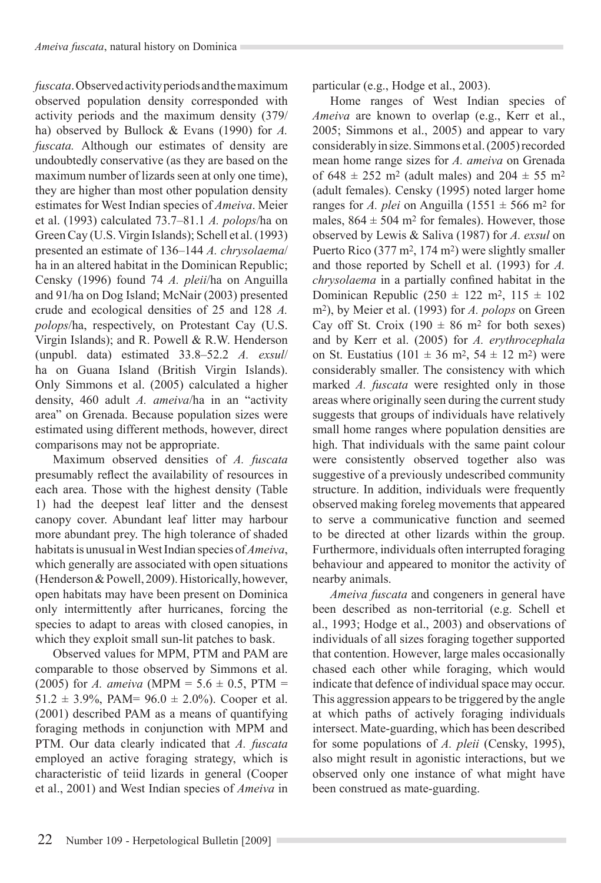*fuscata*. Observed activity periods and the maximum observed population density corresponded with activity periods and the maximum density (379/ ha) observed by Bullock & Evans (1990) for *A. fuscata.* Although our estimates of density are undoubtedly conservative (as they are based on the maximum number of lizards seen at only one time), they are higher than most other population density estimates for West Indian species of *Ameiva*. Meier et al. (1993) calculated 73.7–81.1 *A. polops*/ha on Green Cay (U.S. Virgin Islands); Schell et al. (1993) presented an estimate of 136–144 *A. chrysolaema*/ ha in an altered habitat in the Dominican Republic; Censky (1996) found 74 *A. pleii*/ha on Anguilla and 91/ha on Dog Island; McNair (2003) presented crude and ecological densities of 25 and 128 *A. polops*/ha, respectively, on Protestant Cay (U.S. Virgin Islands); and R. Powell & R.W. Henderson (unpubl. data) estimated 33.8–52.2 *A. exsul*/ ha on Guana Island (British Virgin Islands). Only Simmons et al. (2005) calculated a higher density, 460 adult *A. ameiva*/ha in an "activity area" on Grenada. Because population sizes were estimated using different methods, however, direct comparisons may not be appropriate.

Maximum observed densities of *A. fuscata*  presumably reflect the availability of resources in each area. Those with the highest density (Table 1) had the deepest leaf litter and the densest canopy cover. Abundant leaf litter may harbour more abundant prey. The high tolerance of shaded habitats is unusual in West Indian species of *Ameiva*, which generally are associated with open situations (Henderson & Powell, 2009). Historically, however, open habitats may have been present on Dominica only intermittently after hurricanes, forcing the species to adapt to areas with closed canopies, in which they exploit small sun-lit patches to bask.

Observed values for MPM, PTM and PAM are comparable to those observed by Simmons et al. (2005) for *A. ameiva* (MPM =  $5.6 \pm 0.5$ , PTM =  $51.2 \pm 3.9\%$ , PAM=  $96.0 \pm 2.0\%$ ). Cooper et al. (2001) described PAM as a means of quantifying foraging methods in conjunction with MPM and PTM. Our data clearly indicated that *A. fuscata*  employed an active foraging strategy, which is characteristic of teiid lizards in general (Cooper et al., 2001) and West Indian species of *Ameiva* in

particular (e.g., Hodge et al., 2003).

Home ranges of West Indian species of *Ameiva* are known to overlap (e.g., Kerr et al., 2005; Simmons et al., 2005) and appear to vary considerably in size. Simmons et al. (2005) recorded mean home range sizes for *A. ameiva* on Grenada of 648  $\pm$  252 m<sup>2</sup> (adult males) and 204  $\pm$  55 m<sup>2</sup> (adult females). Censky (1995) noted larger home ranges for *A. plei* on Anguilla (1551  $\pm$  566 m<sup>2</sup> for males,  $864 \pm 504$  m<sup>2</sup> for females). However, those observed by Lewis & Saliva (1987) for *A. exsul* on Puerto Rico (377 m<sup>2</sup>, 174 m<sup>2</sup>) were slightly smaller and those reported by Schell et al. (1993) for *A. chrysolaema* in a partially confined habitat in the Dominican Republic (250  $\pm$  122 m<sup>2</sup>, 115  $\pm$  102 m2), by Meier et al. (1993) for *A. polops* on Green Cay off St. Croix (190  $\pm$  86 m<sup>2</sup> for both sexes) and by Kerr et al. (2005) for *A. erythrocephala*  on St. Eustatius (101  $\pm$  36 m<sup>2</sup>, 54  $\pm$  12 m<sup>2</sup>) were considerably smaller. The consistency with which marked *A. fuscata* were resighted only in those areas where originally seen during the current study suggests that groups of individuals have relatively small home ranges where population densities are high. That individuals with the same paint colour were consistently observed together also was suggestive of a previously undescribed community structure. In addition, individuals were frequently observed making foreleg movements that appeared to serve a communicative function and seemed to be directed at other lizards within the group. Furthermore, individuals often interrupted foraging behaviour and appeared to monitor the activity of nearby animals.

*Ameiva fuscata* and congeners in general have been described as non-territorial (e.g. Schell et al., 1993; Hodge et al., 2003) and observations of individuals of all sizes foraging together supported that contention. However, large males occasionally chased each other while foraging, which would indicate that defence of individual space may occur. This aggression appears to be triggered by the angle at which paths of actively foraging individuals intersect. Mate-guarding, which has been described for some populations of *A. pleii* (Censky, 1995), also might result in agonistic interactions, but we observed only one instance of what might have been construed as mate-guarding.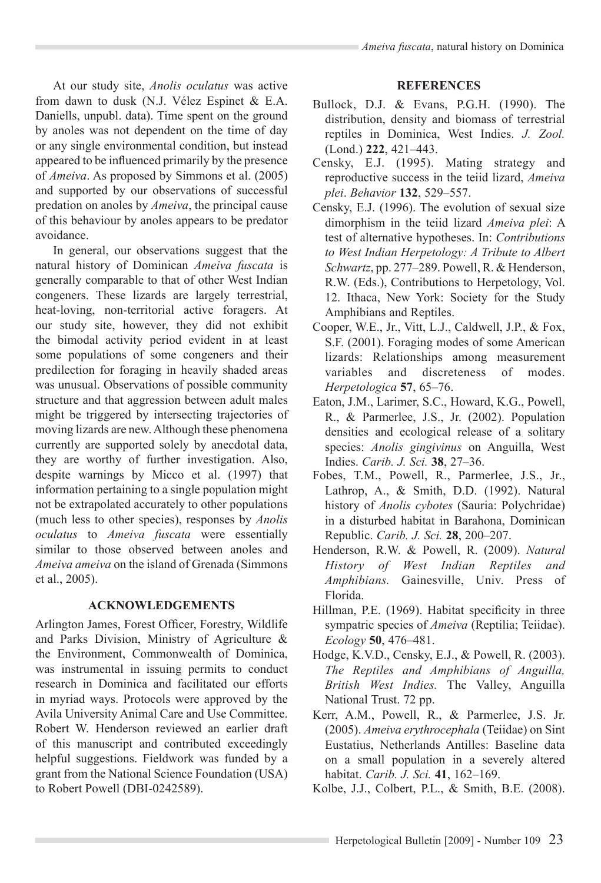At our study site, *Anolis oculatus* was active from dawn to dusk (N.J. Vélez Espinet & E.A. Daniells, unpubl. data). Time spent on the ground by anoles was not dependent on the time of day or any single environmental condition, but instead appeared to be influenced primarily by the presence of *Ameiva*. As proposed by Simmons et al. (2005) and supported by our observations of successful predation on anoles by *Ameiva*, the principal cause of this behaviour by anoles appears to be predator avoidance.

In general, our observations suggest that the natural history of Dominican *Ameiva fuscata* is generally comparable to that of other West Indian congeners. These lizards are largely terrestrial, heat-loving, non-territorial active foragers. At our study site, however, they did not exhibit the bimodal activity period evident in at least some populations of some congeners and their predilection for foraging in heavily shaded areas was unusual. Observations of possible community structure and that aggression between adult males might be triggered by intersecting trajectories of moving lizards are new. Although these phenomena currently are supported solely by anecdotal data, they are worthy of further investigation. Also, despite warnings by Micco et al. (1997) that information pertaining to a single population might not be extrapolated accurately to other populations (much less to other species), responses by *Anolis oculatus* to *Ameiva fuscata* were essentially similar to those observed between anoles and *Ameiva ameiva* on the island of Grenada (Simmons et al., 2005).

# **ACKNOWLEDGEMENTS**

Arlington James, Forest Officer, Forestry, Wildlife and Parks Division, Ministry of Agriculture & the Environment, Commonwealth of Dominica, was instrumental in issuing permits to conduct research in Dominica and facilitated our efforts in myriad ways. Protocols were approved by the Avila University Animal Care and Use Committee. Robert W. Henderson reviewed an earlier draft of this manuscript and contributed exceedingly helpful suggestions. Fieldwork was funded by a grant from the National Science Foundation (USA) to Robert Powell (DBI-0242589).

## **REFERENCES**

- Bullock, D.J. & Evans, P.G.H. (1990). The distribution, density and biomass of terrestrial reptiles in Dominica, West Indies. *J. Zool.*  (Lond.) **222**, 421–443.
- Censky, E.J. (1995). Mating strategy and reproductive success in the teiid lizard, *Ameiva plei*. *Behavior* **132**, 529–557.
- Censky, E.J. (1996). The evolution of sexual size dimorphism in the teiid lizard *Ameiva plei*: A test of alternative hypotheses. In: *Contributions to West Indian Herpetology: A Tribute to Albert Schwartz*, pp. 277–289. Powell, R. & Henderson, R.W. (Eds.), Contributions to Herpetology, Vol. 12. Ithaca, New York: Society for the Study Amphibians and Reptiles.
- Cooper, W.E., Jr., Vitt, L.J., Caldwell, J.P., & Fox, S.F. (2001). Foraging modes of some American lizards: Relationships among measurement variables and discreteness of modes. *Herpetologica* **57**, 65–76.
- Eaton, J.M., Larimer, S.C., Howard, K.G., Powell, R., & Parmerlee, J.S., Jr. (2002). Population densities and ecological release of a solitary species: *Anolis gingivinus* on Anguilla, West Indies. *Carib. J. Sci.* **38**, 27–36.
- Fobes, T.M., Powell, R., Parmerlee, J.S., Jr., Lathrop, A., & Smith, D.D. (1992). Natural history of *Anolis cybotes* (Sauria: Polychridae) in a disturbed habitat in Barahona, Dominican Republic. *Carib. J. Sci.* **28**, 200–207.
- Henderson, R.W. & Powell, R. (2009). *Natural History of West Indian Reptiles and Amphibians.* Gainesville, Univ. Press of Florida.
- Hillman, P.E. (1969). Habitat specificity in three sympatric species of *Ameiva* (Reptilia; Teiidae). *Ecology* **50**, 476–481.
- Hodge, K.V.D., Censky, E.J., & Powell, R. (2003). *The Reptiles and Amphibians of Anguilla, British West Indies.* The Valley, Anguilla National Trust. 72 pp.
- Kerr, A.M., Powell, R., & Parmerlee, J.S. Jr. (2005). *Ameiva erythrocephala* (Teiidae) on Sint Eustatius, Netherlands Antilles: Baseline data on a small population in a severely altered habitat. *Carib. J. Sci.* **41**, 162–169.
- Kolbe, J.J., Colbert, P.L., & Smith, B.E. (2008).